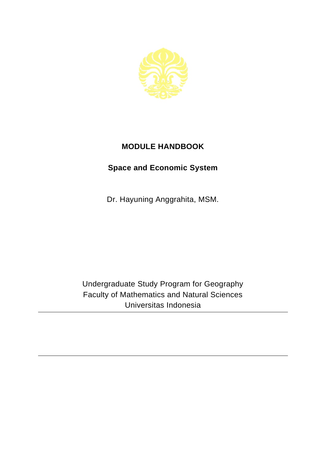

## **MODULE HANDBOOK**

## **Space and Economic System**

Dr. Hayuning Anggrahita, MSM.

Undergraduate Study Program for Geography Faculty of Mathematics and Natural Sciences Universitas Indonesia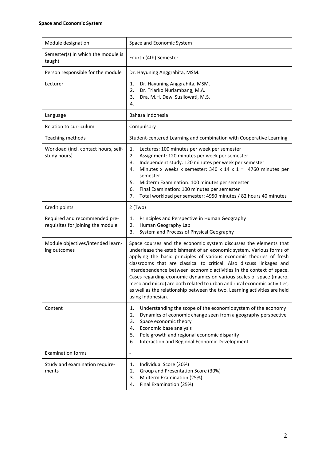| Module designation                                                 | Space and Economic System                                                                                                                                                                                                                                                                                                                                                                                                                                                                                                                                                                                              |
|--------------------------------------------------------------------|------------------------------------------------------------------------------------------------------------------------------------------------------------------------------------------------------------------------------------------------------------------------------------------------------------------------------------------------------------------------------------------------------------------------------------------------------------------------------------------------------------------------------------------------------------------------------------------------------------------------|
| Semester(s) in which the module is<br>taught                       | Fourth (4th) Semester                                                                                                                                                                                                                                                                                                                                                                                                                                                                                                                                                                                                  |
| Person responsible for the module                                  | Dr. Hayuning Anggrahita, MSM.                                                                                                                                                                                                                                                                                                                                                                                                                                                                                                                                                                                          |
| Lecturer                                                           | Dr. Hayuning Anggrahita, MSM.<br>1.<br>Dr. Triarko Nurlambang, M.A.<br>2.<br>Dra. M.H. Dewi Susilowati, M.S.<br>3.<br>4.                                                                                                                                                                                                                                                                                                                                                                                                                                                                                               |
| Language                                                           | Bahasa Indonesia                                                                                                                                                                                                                                                                                                                                                                                                                                                                                                                                                                                                       |
| Relation to curriculum                                             | Compulsory                                                                                                                                                                                                                                                                                                                                                                                                                                                                                                                                                                                                             |
| Teaching methods                                                   | Student-centered Learning and combination with Cooperative Learning                                                                                                                                                                                                                                                                                                                                                                                                                                                                                                                                                    |
| Workload (incl. contact hours, self-<br>study hours)               | Lectures: 100 minutes per week per semester<br>1.<br>2.<br>Assignment: 120 minutes per week per semester<br>Independent study: 120 minutes per week per semester<br>3.<br>Minutes x weeks x semester: 340 x 14 x 1 = 4760 minutes per<br>4.<br>semester<br>Midterm Examination: 100 minutes per semester<br>5.<br>6.<br>Final Examination: 100 minutes per semester<br>Total workload per semester: 4950 minutes / 82 hours 40 minutes<br>7.                                                                                                                                                                           |
| Credit points                                                      | $2$ (Two)                                                                                                                                                                                                                                                                                                                                                                                                                                                                                                                                                                                                              |
| Required and recommended pre-<br>requisites for joining the module | Principles and Perspective in Human Geography<br>1.<br>2.<br>Human Geography Lab<br>System and Process of Physical Geography<br>3.                                                                                                                                                                                                                                                                                                                                                                                                                                                                                     |
| Module objectives/intended learn-<br>ing outcomes                  | Space courses and the economic system discusses the elements that<br>underlease the establishment of an economic system. Various forms of<br>applying the basic principles of various economic theories of fresh<br>classrooms that are classical to critical. Also discuss linkages and<br>interdependence between economic activities in the context of space.<br>Cases regarding economic dynamics on various scales of space (macro,<br>meso and micro) are both related to urban and rural economic activities,<br>as well as the relationship between the two. Learning activities are held<br>using Indonesian. |
| Content                                                            | Understanding the scope of the economic system of the economy<br>1.<br>2.<br>Dynamics of economic change seen from a geography perspective<br>3.<br>Space economic theory<br>Economic base analysis<br>4.<br>Pole growth and regional economic disparity<br>5.<br>Interaction and Regional Economic Development<br>6.                                                                                                                                                                                                                                                                                                  |
| <b>Examination forms</b>                                           | $\overline{a}$                                                                                                                                                                                                                                                                                                                                                                                                                                                                                                                                                                                                         |
| Study and examination require-<br>ments                            | Individual Score (20%)<br>1.<br>Group and Presentation Score (30%)<br>2.<br>Midterm Examination (25%)<br>3.<br>Final Examination (25%)<br>4.                                                                                                                                                                                                                                                                                                                                                                                                                                                                           |